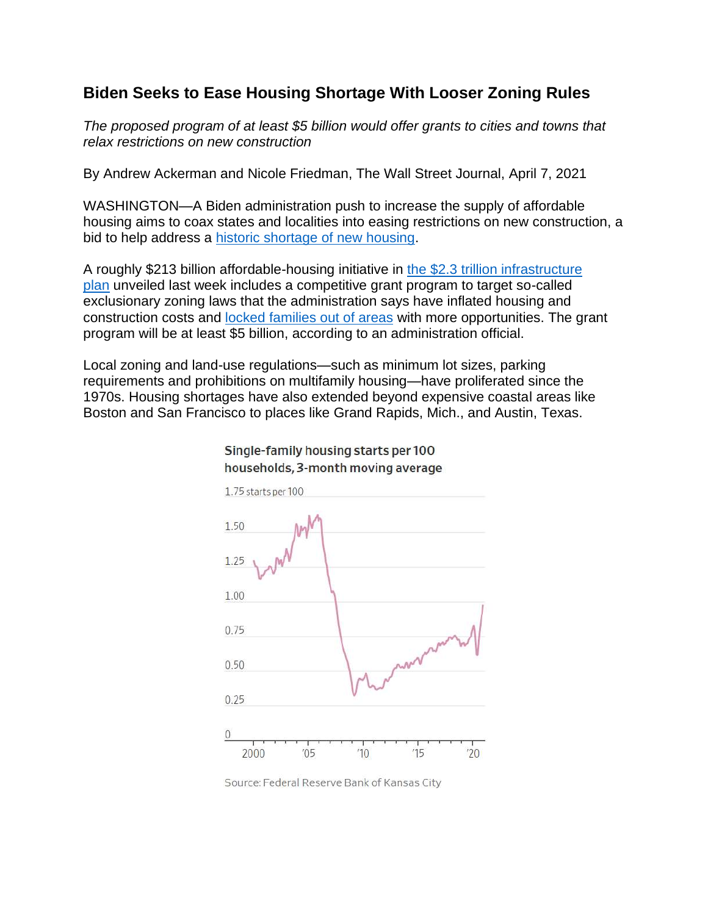## **Biden Seeks to Ease Housing Shortage With Looser Zoning Rules**

*The proposed program of at least \$5 billion would offer grants to cities and towns that relax restrictions on new construction*

By Andrew Ackerman and Nicole Friedman, The Wall Street Journal, April 7, 2021

WASHINGTON—A Biden administration push to increase the supply of affordable housing aims to coax states and localities into easing restrictions on new construction, a bid to help address a [historic shortage of new housing.](https://www.wsj.com/articles/how-to-buy-a-home-2021-how-much-house-can-i-afford-11617400553?mod=article_inline)

A roughly \$213 billion affordable-housing initiative in [the \\$2.3 trillion infrastructure](https://www.wsj.com/articles/biden-set-to-unveil-2-trillion-infrastructure-plan-11617181208?mod=article_inline)  [plan](https://www.wsj.com/articles/biden-set-to-unveil-2-trillion-infrastructure-plan-11617181208?mod=article_inline) unveiled last week includes a competitive grant program to target so-called exclusionary zoning laws that the administration says have inflated housing and construction costs and [locked families out of areas](https://www.wsj.com/articles/the-housing-market-is-crazier-than-its-been-since-2006-11617422403?mod=article_inline) with more opportunities. The grant program will be at least \$5 billion, according to an administration official.

Local zoning and land-use regulations—such as minimum lot sizes, parking requirements and prohibitions on multifamily housing—have proliferated since the 1970s. Housing shortages have also extended beyond expensive coastal areas like Boston and San Francisco to places like Grand Rapids, Mich., and Austin, Texas.



## Single-family housing starts per 100 households, 3-month moving average

Source: Federal Reserve Bank of Kansas City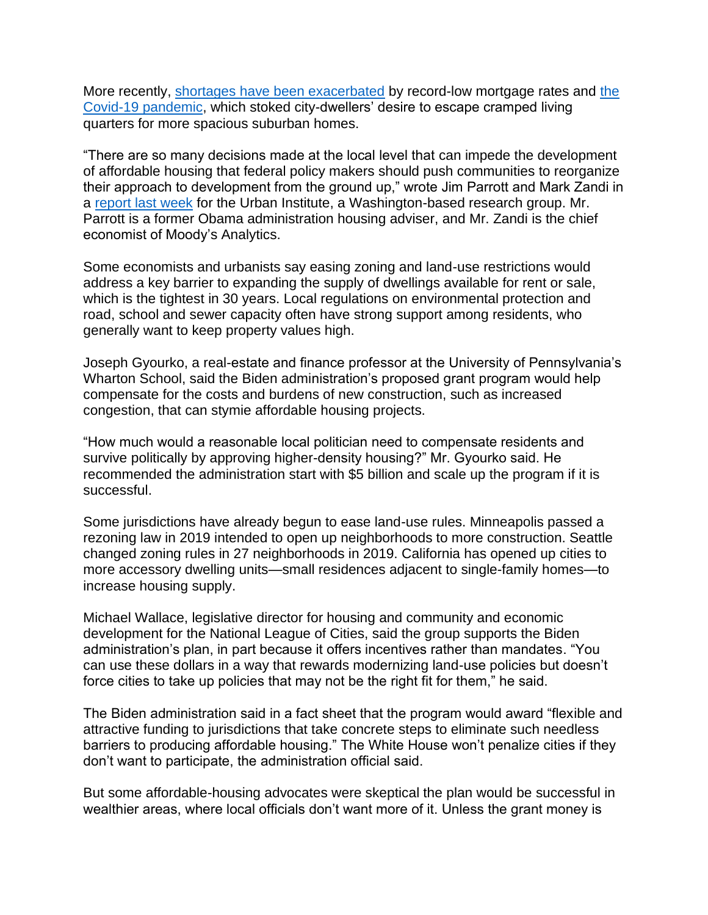More recently, [shortages have been exacerbated](https://www.wsj.com/articles/u-s-home-price-growth-accelerated-in-january-11617109259?mod=article_inline) by record-low mortgage rates and [the](https://www.wsj.com/livecoverage/latest-updates/covid?mod=article_inline)  [Covid-19 pandemic,](https://www.wsj.com/livecoverage/latest-updates/covid?mod=article_inline) which stoked city-dwellers' desire to escape cramped living quarters for more spacious suburban homes.

"There are so many decisions made at the local level that can impede the development of affordable housing that federal policy makers should push communities to reorganize their approach to development from the ground up," wrote Jim Parrott and Mark Zandi in a [report last week](https://www.urban.org/research/publication/overcoming-nations-daunting-housing-supply-shortage) for the Urban Institute, a Washington-based research group. Mr. Parrott is a former Obama administration housing adviser, and Mr. Zandi is the chief economist of Moody's Analytics.

Some economists and urbanists say easing zoning and land-use restrictions would address a key barrier to expanding the supply of dwellings available for rent or sale, which is the tightest in 30 years. Local regulations on environmental protection and road, school and sewer capacity often have strong support among residents, who generally want to keep property values high.

Joseph Gyourko, a real-estate and finance professor at the University of Pennsylvania's Wharton School, said the Biden administration's proposed grant program would help compensate for the costs and burdens of new construction, such as increased congestion, that can stymie affordable housing projects.

"How much would a reasonable local politician need to compensate residents and survive politically by approving higher-density housing?" Mr. Gyourko said. He recommended the administration start with \$5 billion and scale up the program if it is successful.

Some jurisdictions have already begun to ease land-use rules. Minneapolis passed a rezoning law in 2019 intended to open up neighborhoods to more construction. Seattle changed zoning rules in 27 neighborhoods in 2019. California has opened up cities to more accessory dwelling units—small residences adjacent to single-family homes—to increase housing supply.

Michael Wallace, legislative director for housing and community and economic development for the National League of Cities, said the group supports the Biden administration's plan, in part because it offers incentives rather than mandates. "You can use these dollars in a way that rewards modernizing land-use policies but doesn't force cities to take up policies that may not be the right fit for them," he said.

The Biden administration said in a fact sheet that the program would award "flexible and attractive funding to jurisdictions that take concrete steps to eliminate such needless barriers to producing affordable housing." The White House won't penalize cities if they don't want to participate, the administration official said.

But some affordable-housing advocates were skeptical the plan would be successful in wealthier areas, where local officials don't want more of it. Unless the grant money is